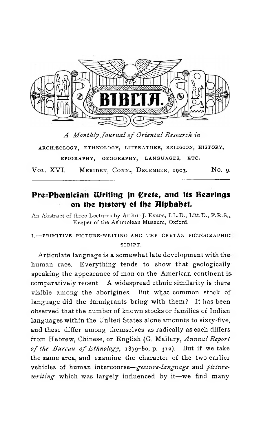

ARCHÆOLOGY, ETHNOLOGY, LITERATURE, RELIGION, HISTORY, **EPIGRAPHY, GEOGRAPHY, LANGUAGES, ETC.**

VOL. XVI. MERIDEN, CONN., DECEMBER, 1903. No. 9.

# Pre-Phoenician Writing in Crete*,* and its Bearings on the History of the Alphabet.

An Abstract of three Lectures by Arthur J. Evans, LL.D., Litt.D., F.R.S., **Keeper of the Ashmolean Museum, Oxford.**

## **I.— PRIMITIVE PICTURE-WRITING AND THE CRETAN PICTOGRAPHIC SCRIPT.**

Articulate language is a somewhat late development with the human race. Everything tends to show that geologicallyspeaking the appearance of man on the American continent iscomparatively recent. A widespread ethnic similarity is there visible among the aborigines. But what common stock of language did the immigrants bring with them ? It has been observed that the number of known stocks or families of Indian languages within the United States alone amounts to sixty-five, and these differ among themselves as radically as each differs from Hebrew, Chinese, or English (G. Mallery, *Annnal Report o f the Bureau of Ethnology,* 1879-80, p. 312). But if we take the same area, and examine the character of the two earlier vehicles of human intercourse—*gesture-language* and *picturewriting* which was largely influenced by it—we find many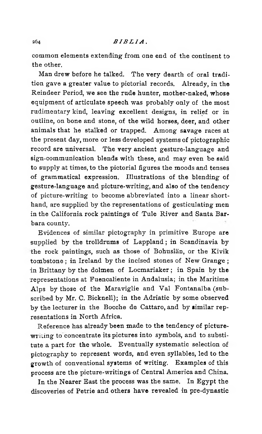common elements extending from one end of the continent to the other.

Man drew before he talked. The very dearth of oral tradition gave a greater value to pictorial records. Already, in the Reindeer Period, we see the rude hunter, mother-naked, whose equipment of articulate speech was probably only of the most rudimentary kind, leaving excellent designs, in relief or in outline, on bone and stone, of the wild horses, deer, and other animals that he stalked or trapped. Among savage races at the present day, more or less developed systems of pictographic record are universal. The very ancient gesture-language and sign-communication blends with these, and may even be said to supply at times, to the pictorial figures the moods and tenses of grammatical expression. Illustrations of the blending of gesture-language and picture-writing, and also of the tendency of picture-writing to become abbreviated into a linear shorthand, are supplied by the representations of gesticulating men in the California rock paintings of Tule River and Santa Barbara county.

Evidences of similar pictography in primitive Europe are supplied by the trolldrums of Lappland ; in Scandinavia by the rock paintings, such as those of Bohuslän, or the Kivik tombstone ; in Ireland by the incised stones of New Grange ; in Brittany by the dolmen of Locmariaker ; in Spain by the representations at Fuencaliente in Andalusia; in the Maritime Alps by those of the Maraviglie and Val Fontanalba (subscribed by Mr. C. Bicknell); in the Adriatic by some observed by the lecturer in the Bocche de Cattaro, and by similar representations in North Africa.

Reference has already been made to the tendency of picturewriting to concentrate its pictures into symbols, and to substitute a part for the whole. Eventually systematic selection of pictography to represent words, and even syllables, led to the growth of conventional systems of writing. Examples of this process are the picture-writings of Central America and China.

In the Nearer East the process was the same. In Egypt the discoveries of Petrie and others have revealed in pre-dynastic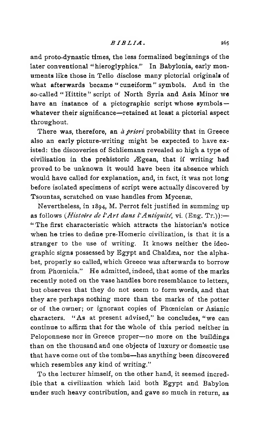and proto-dynastic times, the less formalized beginnings of the later conventional "hieroglyphics." In Babylonia, early monuments like those in Tello disclose many pictorial originals of what afterwards became " cuneiform" symbols. And in the so-called " Hittite " script of North Syria and Asia Minor we have an instance of a pictographic script whose symbols -whatever their significance—retained at least a pictorial aspect throughout.

There was, therefore, an *à priori* probability that in Greece also an early picture-writing might be expected to have existed: the discoveries of Schliemann revealed so high a type of civilization in the prehistoric Ægean, that if writing had proved to be unknown it would have been its absence which would have called for explanation, and, in fact, it was not long before isolated specimens of script were actually discovered by Tsountas, scratched on vase handles from Mycenæ.

Nevertheless, in 1894, M. Perrot felt justified in summing up as follows *(Histoire de l'Art dans l'Antiquité*, vi. (Eng. Tr.)):— " The first characteristic which attracts the historian's notice when he tries to define pre-Homeric civilization, is that it is a stranger to the use of writing. It knows neither the ideographic signs possessed by Egypt and Chaldæa, nor the alphabet, properly so called, which Greece was afterwards to borrow from Phœnicia." He admitted, indeed, that some of the marks recently noted on the vase handles bore resemblance to letters, but observes that they do not seem to form words, and that they are perhaps nothing more than the marks of the potter or of the owner; or ignorant copies of Phoenician or Asianic characters. " As at present advised," he concludes, " we can continue to affirm that for the whole of this period neither in Peloponnese nor in Greece proper—no more on the buildings than on the thousand and one objects of luxury or domestic use that have come out of the tombs—has anything been discovered which resembles any kind of writing."

To the lecturer himself, on the other hand, it seemed incredible that a civilization which laid both Egypt and Babylon under such heavy contribution, and gave so much in return, as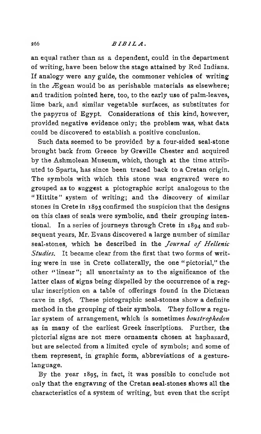### 266 *B I B I L A .*

an equal rather than as a dependent, could in the department of writing, have been below the stage attained by Red Indians. If analogy were any guide, the commoner vehicles of writing in the Ægean would be as perishable materials as elsewhere; and tradition pointed here, too, to the early use of palm-leaves, lime bark, and similar vegetable surfaces, as substitutes for the papyrus of Egypt. Considerations of this kind, however, provided negative evidence only; the problem was, what data could be discovered to establish a positive conclusion.

Such data seemed to be provided by a four-sided seal-stone brought back from Greece by Greville Chester and acquired by the Ashmolean Museum, which, though at the time attributed to Sparta, has since been traced back to a Cretan origin. The symbols with which this stone was engraved were so grouped as to suggest a pictographic script analogous to the " Hittite" system of writing; and the discovery of similar stones in Crete in 1893 confirmed the suspicion that the designs on this class of seals were symbolic, and their grouping intentional. In a series of journeys through Crete in 1894 and subsequent years, Mr. Evans discovered a large number of similar seal-stones, which he described in the *Journal of Hellenic Studies.* It became clear from the first that two forms of writing were in use in Crete collaterally, the one " pictorial," the other "linear"; all uncertainty as to the significance of the latter class of signs being dispelled by the occurrence of a regular inscription on a table of offerings found in the Dictæan cave in 1896. These pictographic seal-stones show a definite method in the grouping of their symbols. They follow a regular system of arrangement, which is sometimes *boustrophedon* as in many of the earliest Greek inscriptions. Further, the pictorial signs are not mere ornaments chosen at haphazard, but are selected from a limited cycle of symbols; and some of them represent, in graphic form, abbreviations of a gesturelanguage.

By the year 1895, in fact, it was possible to conclude not only that the engraving of the Cretan seal-stones shows all the characteristics of a system of writing, but even that the script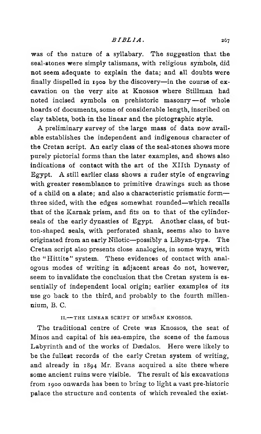was of the nature of a syllabary. The suggestion that the seal-stones were simply talismans, with religious symbols, did not seem adequate to explain the data; and all doubts were finally dispelled in 1900 by the discovery—in the course of excavation on the very site at Knossos where Stillman had noted incised symbols on prehistoric masonry—of whole hoards of documents, some of considerable length, inscribed on clay tablets, both in the linear and the pictographic style.

A preliminary survey of the large mass of data now available establishes the independent and indigenous character of the Cretan script. An early class of the seal-stones shows more purely pictorial forms than the later examples, and shows also indications of contact with the art of the Xllth Dynasty of Egypt. A still earlier class shows a ruder style of engraving with greater resemblance to primitive drawings such as those of a child on a slate; and also a characteristic prismatic form three sided, with the edges somewhat rounded—which recalls that of the Karnak prism, and fits on to that of the cylinderseals of the early dynasties of Egypt. Another class, of button-shaped seals, with perforated shank, seems also to have originated from an early Nilotic—possibly a Libyan-type. The Cretan script also presents close analogies, in some ways, with the "Hittite" system. These evidences of contact with analogous modes of writing in adjacent areas do not, however, seem to invalidate the conclusion that the Cretan system is essentially of independent local origin; earlier examples of its use go back to the third, and probably to the fourth millennium, B. C.

**II.**-THE LINEAR SCRIPT OF MINOAN KNOSSOS.

The traditional centre of Crete was Knossos, the seat of Minos and capital of his sea-empire, the scene of the famous Labyrinth and of the works of Dædalos. Here were likely to be the fullest records of the early Cretan system of writing, and already in 1894 Mr. Evans acquired a site there where some ancient ruins were visible. The result of his excavations from 1900 onwards has been to bring to light a vast pre-historic palace the structure and contents of which revealed the exist-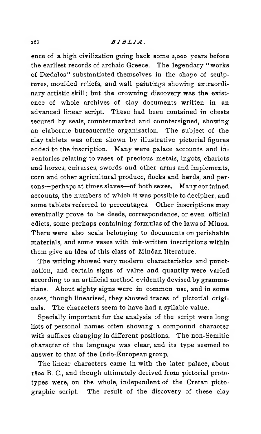#### 268 *B I B L I A* .

ence of a high civilization going back some 2,000 years before the earliest records of archaic Greece. The legendary " works of Dædalos" substantiated themselves in the shape of sculptures, moulded reliefs, and wall paintings showing extraordinary artistic skill; but the crowning discovery was the existence of whole archives of clay documents written in an advanced linear script. These had been contained in chests secured by seals, countermarked and countersigned, showing an elaborate bureaucratic organization. The subject of the clay tablets was often shown by illustrative pictorial figures added to the inscription. Many were palace accounts and inventories relating to vases of precious metals, ingots, chariots and horses, cuirasses, swords and other arms and implements, corn and other agricultural produce, flocks and herds, and persons—perhaps at times slaves—of both sexes. Many contained accounts, the numbers of which it was possible to decipher, and some tablets referred to percentages. Other inscriptions may eventually prove to be deeds, correspondence, or even official edicts, some perhaps containing formulas of the laws of Minos. There were also seals belonging to documents on perishable materials, and some vases with ink-written inscriptions within them give an idea of this class of Minôan literature.

The writing showed very modern characteristics and punctuation, and certain signs of value and quantity were varied according to an artificial method evidently devised by grammarians. About eighty signs were in common use, and in some cases, though linearised, they showed traces of pictorial originals. The characters seem to have had a syllabic value.

Specially important for the analysis of the script were long lists of personal names often showing a compound character with suffixes changing in different positions. The non-Semitic character of the language was clear, and its type seemed to answer to that of the Indo-European group.

The linear characters came in with the later palace, about 1800 B. C., and though ultimately derived from pictorial prototypes were, on the whole, independent of the Cretan pictographic script. The result of the discovery of these clay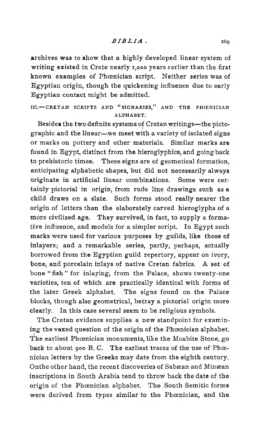archives was to show that a highly developed linear system of writing existed in Crete nearly 1,000 years earlier than the first known examples of Phoenician script. Neither series was of Egyptian origin, though the quickening influence due to early Egyptian contact might be admitted.

**III.** - CRETAN SCRIPTS AND "SIGNARIES," AND THE PHŒNICIAN **ALPHABET.**

Besides the two definite systems of Cretan writings—the pictographic and the linear—we meet with a variety of isolated signs or marks on pottery and other materials. Similar marks are found in Egypt, distinct from the hieroglyphics, and going back to prehistoric times. These signs are of geometical formation, anticipating alphabetic shapes, but did not necessarily always originate in artificial linear combinations. Some were certainly pictorial in origin, from rude line drawings such as a child draws on a slate. Such forms stood really nearer the origin of letters than the elaborately carved hieroglyphs of a more civilized age. They survived, in fact, to supply a formative influence, and models for a simpler script. In Egypt such marks were used for various purposes by guilds, like those of inlayers; and a remarkable series, partly, perhaps, actually borrowed from the Egyptian guild repertory, appear on ivory, bone, and porcelain inlays of native Cretan fabrics. A set of bone " fish " for inlaying, from the Palace, shows twenty-one varieties, ten of which are practically identical with forms of the later Greek alphabet. The signs found on the Palace blocks, though also geometrical, betray a pictorial origin more clearly. In this case several seem to be religious symbols.

The Cretan evidence supplies a new standpoint for examining the vexed question of the origin of the Phœnician alphabet. The earliest Phœnician monuments, like the Moabite Stone, go back to about 900 B. C. The earliest traces of the use of Phœnician letters by the Greeks may date from the eighth century. Onthe other hand, the recent discoveries of Sabæan and Minæan inscriptions in South Arabia tend to throw back the date of the origin of the Phoenician alphabet. The South Semitic forms were derived from types similar to the Phœnician, and the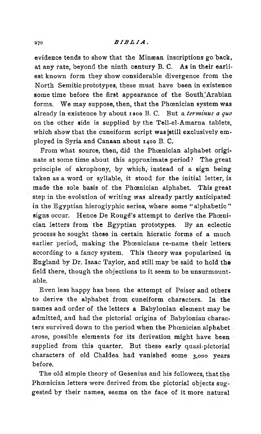### 270 *BIBLIA.*

evidence tends to show that the Minæan inscriptions go back, at any rate, beyond the ninth century B. C. As in their earliest known form they show considerable divergence from the North Semitic prototypes, these must have been in existence some time before the first appearance of the South"Arabian forms. We may suppose, then, that the Phoenician system was already in existence by about 1200 B. C. But a *terminus a quo* on the other side is supplied by the Tell-el-Amarna tablets, which show that the cuneiform script was sstill exclusively employed in Syria and Canaan about 1400 B. C.

From what source, then, did the Phoenician alphabet originate at some time about this approximate period ? The great principle of akrophony, by which, instead of a sign being taken as a word or syllable, it stood for the initial letter, is made the sole basis of the Phoenician alphabet. This great step in the evolution of writing was already partly anticipated in the Egyptian hieroglyphic series, where some " alphabetic" signs occur. Hence De Rougé's attempt to derive the Phœnician letters from the Egyptian prototypes. By an eclectic process he sought these in certain hieratic forms of a much earlier period, making the Phoenicians re-name their letters according to a fancy system. This theory was popularized in England by Dr. Isaac Taylor, and still may be said to hold the field there, though the objections to it seem to be unsurmountable.

Even less happy has been the attempt of Peiser and others to derive the alphabet from cuneiform characters. In the names and order of the letters a Babylonian element may be admitted, and had the pictorial origins of Babylonian characters survived down to the period when the Phoenician alphabet arose, possible elements for its derivation might have been supplied from this quarter. But these early quasi-pictorial characters of old Chaldea had vanished some 3,000 years before.

The old simple theory of Gesenius and his followers, that the Phœnician letters were derived from the pictorial objects suggested by their names, seems on the face of it more natural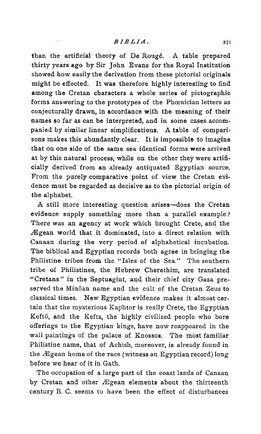$1.4 -$ 

than the artificial theory of De Rougé. A table prepared thirty years ago by Sir John Evans for the Royal Institution showed how easily the derivation from these pictorial originals might be effected. It was therefore highly interesting to find among the Cretan characters a whole series of pictographic forms answering to the prototypes of the Phoenician letters as conjecturally drawn, in accordance with the meaning of their names so far as can be interpreted, and in some cases accompanied by similar linear simplifications. A table of compari sons makes this abundantly clear. It is impossible to imagine that on one side of the same sea identical forms were arrived at by this natural process, while on the other they were artificially derived from an already antiquated Egyptian source. From the purely comparative point of view the Cretan evidence must be regarded as decisive as to the pictorial origin of the alphabet.

A still more interesting question arises—does the Cretan evidence supply something more than a parallel example? There was an agency at work which brought Crete, and the Ægean world that it dominated, into a direct relation with Canaan during the very period of alphabetical incubation. The biblical and Egyptian records both agree in bringing the Philistine tribes from the "Isles of the Sea." The southern tribe of Philistines, the Hebrew Cherethim, are translated " Cretans" in the Septuagint, and their chief city Gaza preserved the Minôan name and the cult of the Cretan Zeus to classical times. New Egyptian evidence makes it almost certain that the mysterious Kaphtor is really Crete, the Egyptian Keftô, and the Kefts, the highly civilized people who bore offerings to the Egyptian kings, have now reappeared in the wall paintings of the palace of Knossos. The most familiar Philistine name, that of Achish, moreover, is already found in the Ægean home of the race (witness an Egyptian record) long before we hear of it in Gath.

The occupation of a large part of the coast lands of Canaan by Cretan and other Ægean elements about the thirteenth century B. C. seems to have been the effect of disturbances